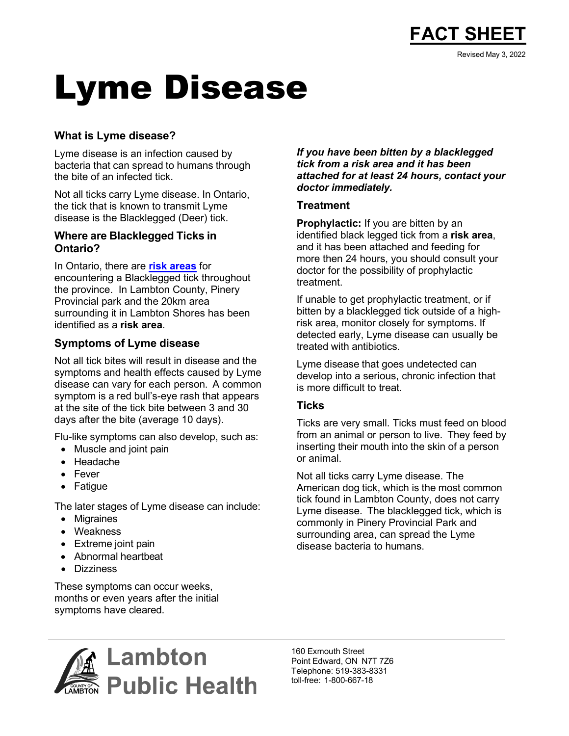

# Lyme Disease

### **What is Lyme disease?**

Lyme disease is an infection caused by bacteria that can spread to humans through the bite of an infected tick.

Not all ticks carry Lyme disease. In Ontario, the tick that is known to transmit Lyme disease is the Blacklegged (Deer) tick.

#### **Where are Blacklegged Ticks in Ontario?**

In Ontario, there are **[risk areas](https://www.publichealthontario.ca/-/media/Documents/O/2022/lyme-disease-risk-area-map-2022.pdf)** for encountering a Blacklegged tick throughout the province. In Lambton County, Pinery Provincial park and the 20km area surrounding it in Lambton Shores has been identified as a **risk area**.

### **Symptoms of Lyme disease**

Not all tick bites will result in disease and the symptoms and health effects caused by Lyme disease can vary for each person. A common symptom is a red bull's-eye rash that appears at the site of the tick bite between 3 and 30 days after the bite (average 10 days).

Flu-like symptoms can also develop, such as:

- Muscle and joint pain
- Headache
- Fever
- Fatigue

The later stages of Lyme disease can include:

- Migraines
- Weakness
- Extreme joint pain
- Abnormal heartbeat
- Dizziness

These symptoms can occur weeks, months or even years after the initial symptoms have cleared.

#### *If you have been bitten by a blacklegged tick from a risk area and it has been attached for at least 24 hours, contact your doctor immediately.*

#### **Treatment**

**Prophylactic:** If you are bitten by an identified black legged tick from a **risk area**, and it has been attached and feeding for more then 24 hours, you should consult your doctor for the possibility of prophylactic treatment.

If unable to get prophylactic treatment, or if bitten by a blacklegged tick outside of a highrisk area, monitor closely for symptoms. If detected early, Lyme disease can usually be treated with antibiotics.

Lyme disease that goes undetected can develop into a serious, chronic infection that is more difficult to treat.

### **Ticks**

Ticks are very small. Ticks must feed on blood from an animal or person to live. They feed by inserting their mouth into the skin of a person or animal.

Not all ticks carry Lyme disease. The American dog tick, which is the most common tick found in Lambton County, does not carry Lyme disease. The blacklegged tick, which is commonly in Pinery Provincial Park and surrounding area, can spread the Lyme disease bacteria to humans.



160 Exmouth Street Point Edward, ON N7T 7Z6 Telephone: 519-383-8331 toll-free: 1-800-667-18